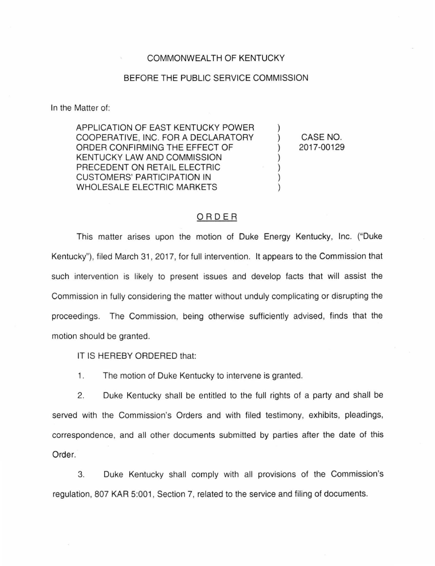## COMMONWEALTH OF KENTUCKY

## BEFORE THE PUBLIC SERVICE COMMISSION

In the Matter of:

APPLICATION OF EAST KENTUCKY POWER COOPERATIVE, INC. FOR A DECLARATORY ORDER CONFIRMING THE EFFECT OF KENTUCKY LAW AND COMMISSION PRECEDENT ON RETAIL ELECTRIC CUSTOMERS' PARTICIPATION IN WHOLESALE ELECTRIC MARKETS

CASE NO. 2017-00129

) ) ) ) ) ) )

## ORDER

This matter arises upon the motion of Duke Energy Kentucky, Inc. ("Duke Kentucky"), filed March 31 , 2017, for full intervention. It appears to the Commission that such intervention is likely to present issues and develop facts that will assist the Commission in fully considering the matter without unduly complicating or disrupting the proceedings. The Commission, being otherwise sufficiently advised, finds that the motion should be granted.

IT IS HEREBY ORDERED that:

1. The motion of Duke Kentucky to intervene is granted.

2. Duke Kentucky shall be entitled to the full rights of a party and shall be served with the Commission's Orders and with filed testimony, exhibits, pleadings, correspondence, and all other documents submitted by parties after the date of this Order.

3. Duke Kentucky shall comply with all provisions of the Commission's regulation, 807 KAR 5:001, Section 7, related to the service and filing of documents.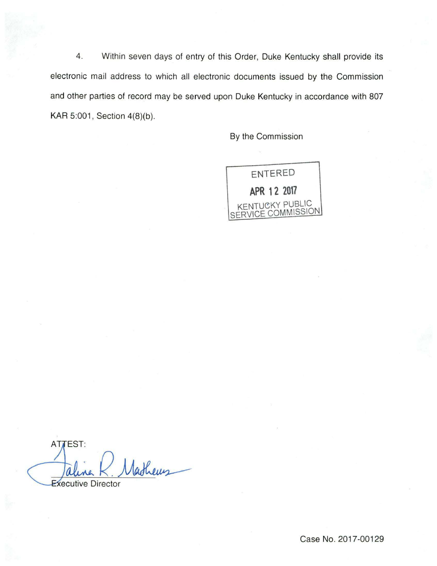4. Within seven days of entry of this Order, Duke Kentucky shall provide its electronic mail address to which all electronic documents issued by the Commission and other parties of record may be served upon Duke Kentucky in accordance with 807 KAR 5:001, Section 4(8)(b).

By the Commission



**ATTEST:** Jaline K. Matheus

Case No. 2017-00129